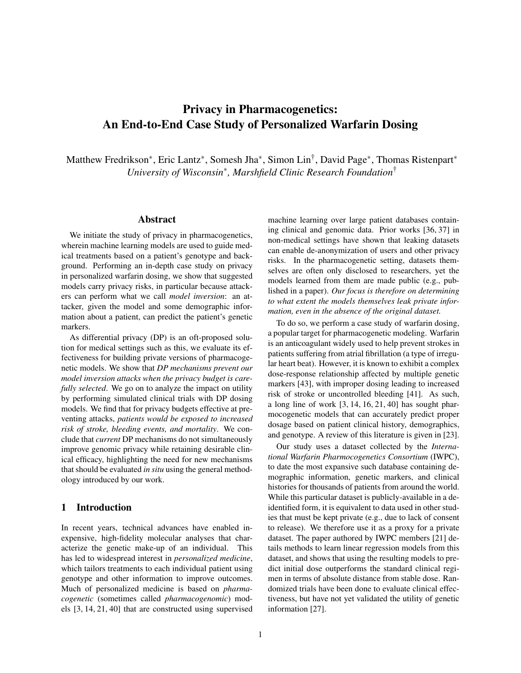# Privacy in Pharmacogenetics: An End-to-End Case Study of Personalized Warfarin Dosing

Matthew Fredrikson\*, Eric Lantz\*, Somesh Jha\*, Simon Lin<sup>†</sup>, David Page\*, Thomas Ristenpart\* *University of Wisconsin*∗ *, Marshfield Clinic Research Foundation*†

## Abstract

We initiate the study of privacy in pharmacogenetics, wherein machine learning models are used to guide medical treatments based on a patient's genotype and background. Performing an in-depth case study on privacy in personalized warfarin dosing, we show that suggested models carry privacy risks, in particular because attackers can perform what we call *model inversion*: an attacker, given the model and some demographic information about a patient, can predict the patient's genetic markers.

As differential privacy (DP) is an oft-proposed solution for medical settings such as this, we evaluate its effectiveness for building private versions of pharmacogenetic models. We show that *DP mechanisms prevent our model inversion attacks when the privacy budget is carefully selected*. We go on to analyze the impact on utility by performing simulated clinical trials with DP dosing models. We find that for privacy budgets effective at preventing attacks, *patients would be exposed to increased risk of stroke, bleeding events, and mortality*. We conclude that *current* DP mechanisms do not simultaneously improve genomic privacy while retaining desirable clinical efficacy, highlighting the need for new mechanisms that should be evaluated *in situ* using the general methodology introduced by our work.

#### 1 Introduction

In recent years, technical advances have enabled inexpensive, high-fidelity molecular analyses that characterize the genetic make-up of an individual. This has led to widespread interest in *personalized medicine*, which tailors treatments to each individual patient using genotype and other information to improve outcomes. Much of personalized medicine is based on *pharmacogenetic* (sometimes called *pharmacogenomic*) models [3, 14, 21, 40] that are constructed using supervised machine learning over large patient databases containing clinical and genomic data. Prior works [36, 37] in non-medical settings have shown that leaking datasets can enable de-anonymization of users and other privacy risks. In the pharmacogenetic setting, datasets themselves are often only disclosed to researchers, yet the models learned from them are made public (e.g., published in a paper). *Our focus is therefore on determining to what extent the models themselves leak private information, even in the absence of the original dataset.*

To do so, we perform a case study of warfarin dosing, a popular target for pharmacogenetic modeling. Warfarin is an anticoagulant widely used to help prevent strokes in patients suffering from atrial fibrillation (a type of irregular heart beat). However, it is known to exhibit a complex dose-response relationship affected by multiple genetic markers [43], with improper dosing leading to increased risk of stroke or uncontrolled bleeding [41]. As such, a long line of work [3, 14, 16, 21, 40] has sought pharmocogenetic models that can accurately predict proper dosage based on patient clinical history, demographics, and genotype. A review of this literature is given in [23].

Our study uses a dataset collected by the *International Warfarin Pharmocogenetics Consortium* (IWPC), to date the most expansive such database containing demographic information, genetic markers, and clinical histories for thousands of patients from around the world. While this particular dataset is publicly-available in a deidentified form, it is equivalent to data used in other studies that must be kept private (e.g., due to lack of consent to release). We therefore use it as a proxy for a private dataset. The paper authored by IWPC members [21] details methods to learn linear regression models from this dataset, and shows that using the resulting models to predict initial dose outperforms the standard clinical regimen in terms of absolute distance from stable dose. Randomized trials have been done to evaluate clinical effectiveness, but have not yet validated the utility of genetic information [27].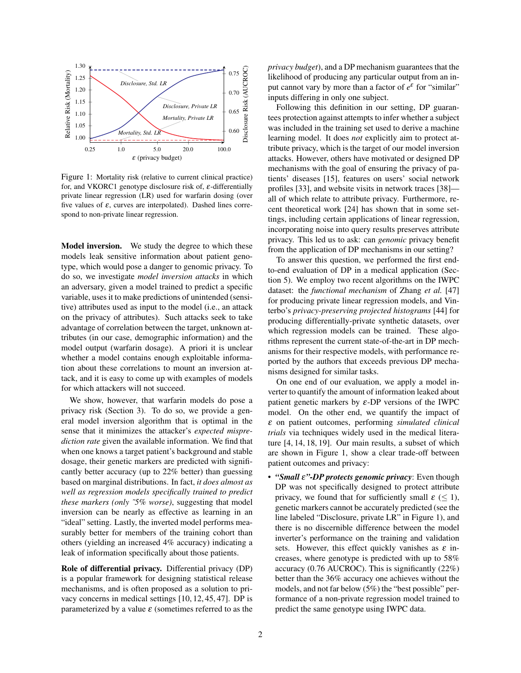

Figure 1: Mortality risk (relative to current clinical practice) for, and VKORC1 genotype disclosure risk of,  $\varepsilon$ -differentially private linear regression (LR) used for warfarin dosing (over five values of  $\varepsilon$ , curves are interpolated). Dashed lines correspond to non-private linear regression.

Model inversion. We study the degree to which these models leak sensitive information about patient genotype, which would pose a danger to genomic privacy. To do so, we investigate *model inversion attacks* in which an adversary, given a model trained to predict a specific variable, uses it to make predictions of unintended (sensitive) attributes used as input to the model (i.e., an attack on the privacy of attributes). Such attacks seek to take advantage of correlation between the target, unknown attributes (in our case, demographic information) and the model output (warfarin dosage). A priori it is unclear whether a model contains enough exploitable information about these correlations to mount an inversion attack, and it is easy to come up with examples of models for which attackers will not succeed.

We show, however, that warfarin models do pose a privacy risk (Section 3). To do so, we provide a general model inversion algorithm that is optimal in the sense that it minimizes the attacker's *expected misprediction rate* given the available information. We find that when one knows a target patient's background and stable dosage, their genetic markers are predicted with significantly better accuracy (up to 22% better) than guessing based on marginal distributions. In fact, *it does almost as well as regression models specifically trained to predict these markers (only ˜5% worse)*, suggesting that model inversion can be nearly as effective as learning in an "ideal" setting. Lastly, the inverted model performs measurably better for members of the training cohort than others (yielding an increased 4% accuracy) indicating a leak of information specifically about those patients.

Role of differential privacy. Differential privacy (DP) is a popular framework for designing statistical release mechanisms, and is often proposed as a solution to privacy concerns in medical settings [10, 12, 45, 47]. DP is parameterized by a value  $\varepsilon$  (sometimes referred to as the *privacy budget*), and a DP mechanism guarantees that the likelihood of producing any particular output from an input cannot vary by more than a factor of  $e^{\varepsilon}$  for "similar" inputs differing in only one subject.

Following this definition in our setting, DP guarantees protection against attempts to infer whether a subject was included in the training set used to derive a machine learning model. It does *not* explicitly aim to protect attribute privacy, which is the target of our model inversion attacks. However, others have motivated or designed DP mechanisms with the goal of ensuring the privacy of patients' diseases [15], features on users' social network profiles [33], and website visits in network traces [38] all of which relate to attribute privacy. Furthermore, recent theoretical work [24] has shown that in some settings, including certain applications of linear regression, incorporating noise into query results preserves attribute privacy. This led us to ask: can *genomic* privacy benefit from the application of DP mechanisms in our setting?

To answer this question, we performed the first endto-end evaluation of DP in a medical application (Section 5). We employ two recent algorithms on the IWPC dataset: the *functional mechanism* of Zhang *et al.* [47] for producing private linear regression models, and Vinterbo's *privacy-preserving projected histograms* [44] for producing differentially-private synthetic datasets, over which regression models can be trained. These algorithms represent the current state-of-the-art in DP mechanisms for their respective models, with performance reported by the authors that exceeds previous DP mechanisms designed for similar tasks.

On one end of our evaluation, we apply a model inverter to quantify the amount of information leaked about patient genetic markers by  $\varepsilon$ -DP versions of the IWPC model. On the other end, we quantify the impact of ε on patient outcomes, performing *simulated clinical trials* via techniques widely used in the medical literature [4, 14, 18, 19]. Our main results, a subset of which are shown in Figure 1, show a clear trade-off between patient outcomes and privacy:

• *"Small* ε*"-DP protects genomic privacy*: Even though DP was not specifically designed to protect attribute privacy, we found that for sufficiently small  $\varepsilon \leq 1$ ), genetic markers cannot be accurately predicted (see the line labeled "Disclosure, private LR" in Figure 1), and there is no discernible difference between the model inverter's performance on the training and validation sets. However, this effect quickly vanishes as  $\varepsilon$  increases, where genotype is predicted with up to 58% accuracy (0.76 AUCROC). This is significantly (22%) better than the 36% accuracy one achieves without the models, and not far below (5%) the "best possible" performance of a non-private regression model trained to predict the same genotype using IWPC data.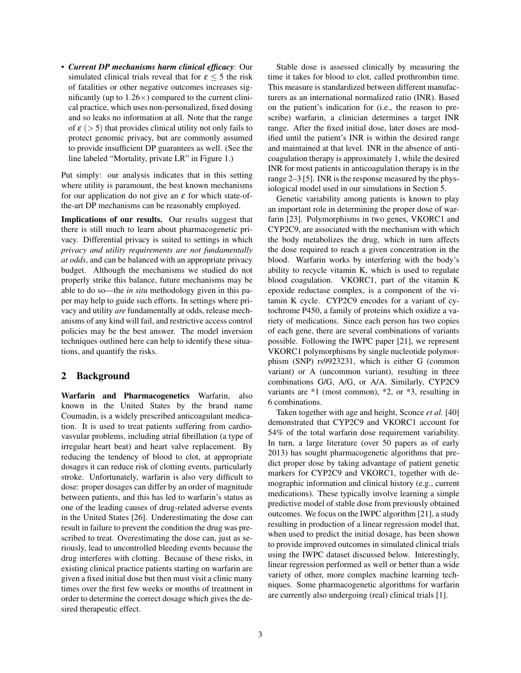• *Current DP mechanisms harm clinical efficacy*: Our simulated clinical trials reveal that for  $\epsilon$  < 5 the risk of fatalities or other negative outcomes increases significantly (up to  $1.26 \times$ ) compared to the current clinical practice, which uses non-personalized, fixed dosing and so leaks no information at all. Note that the range of  $\varepsilon$  ( $>$  5) that provides clinical utility not only fails to protect genomic privacy, but are commonly assumed to provide insufficient DP guarantees as well. (See the line labeled "Mortality, private LR" in Figure 1.)

Put simply: our analysis indicates that in this setting where utility is paramount, the best known mechanisms for our application do not give an  $\varepsilon$  for which state-ofthe-art DP mechanisms can be reasonably employed.

Implications of our results. Our results suggest that there is still much to learn about pharmacogenetic privacy. Differential privacy is suited to settings in which *privacy and utility requirements are not fundamentally at odds*, and can be balanced with an appropriate privacy budget. Although the mechanisms we studied do not properly strike this balance, future mechanisms may be able to do so—the *in situ* methodology given in this paper may help to guide such efforts. In settings where privacy and utility *are* fundamentally at odds, release mechanisms of any kind will fail, and restrictive access control policies may be the best answer. The model inversion techniques outlined here can help to identify these situations, and quantify the risks.

## 2 Background

Warfarin and Pharmacogenetics Warfarin, also known in the United States by the brand name Coumadin, is a widely prescribed anticoagulant medication. It is used to treat patients suffering from cardiovasvular problems, including atrial fibrillation (a type of irregular heart beat) and heart valve replacement. By reducing the tendency of blood to clot, at appropriate dosages it can reduce risk of clotting events, particularly stroke. Unfortunately, warfarin is also very difficult to dose: proper dosages can differ by an order of magnitude between patients, and this has led to warfarin's status as one of the leading causes of drug-related adverse events in the United States [26]. Underestimating the dose can result in failure to prevent the condition the drug was prescribed to treat. Overestimating the dose can, just as seriously, lead to uncontrolled bleeding events because the drug interferes with clotting. Because of these risks, in existing clinical practice patients starting on warfarin are given a fixed initial dose but then must visit a clinic many times over the first few weeks or months of treatment in order to determine the correct dosage which gives the desired therapeutic effect.

Stable dose is assessed clinically by measuring the time it takes for blood to clot, called prothrombin time. This measure is standardized between different manufacturers as an international normalized ratio (INR). Based on the patient's indication for (i.e., the reason to prescribe) warfarin, a clinician determines a target INR range. After the fixed initial dose, later doses are modified until the patient's INR is within the desired range and maintained at that level. INR in the absence of anticoagulation therapy is approximately 1, while the desired INR for most patients in anticoagulation therapy is in the range 2–3 [5]. INR is the response measured by the physiological model used in our simulations in Section 5.

Genetic variability among patients is known to play an important role in determining the proper dose of warfarin [23]. Polymorphisms in two genes, VKORC1 and CYP2C9, are associated with the mechanism with which the body metabolizes the drug, which in turn affects the dose required to reach a given concentration in the blood. Warfarin works by interfering with the body's ability to recycle vitamin K, which is used to regulate blood coagulation. VKORC1, part of the vitamin K epoxide reductase complex, is a component of the vitamin K cycle. CYP2C9 encodes for a variant of cytochrome P450, a family of proteins which oxidize a variety of medications. Since each person has two copies of each gene, there are several combinations of variants possible. Following the IWPC paper [21], we represent VKORC1 polymorphisms by single nucleotide polymorphism (SNP) rs9923231, which is either G (common variant) or A (uncommon variant), resulting in three combinations G/G, A/G, or A/A. Similarly, CYP2C9 variants are \*1 (most common), \*2, or \*3, resulting in 6 combinations.

Taken together with age and height, Sconce *et al.* [40] demonstrated that CYP2C9 and VKORC1 account for 54% of the total warfarin dose requirement variability. In turn, a large literature (over 50 papers as of early 2013) has sought pharmacogenetic algorithms that predict proper dose by taking advantage of patient genetic markers for CYP2C9 and VKORC1, together with demographic information and clinical history (e.g., current medications). These typically involve learning a simple predictive model of stable dose from previously obtained outcomes. We focus on the IWPC algorithm [21], a study resulting in production of a linear regression model that, when used to predict the initial dosage, has been shown to provide improved outcomes in simulated clinical trials using the IWPC dataset discussed below. Interestingly, linear regression performed as well or better than a wide variety of other, more complex machine learning techniques. Some pharmacogenetic algorithms for warfarin are currently also undergoing (real) clinical trials [1].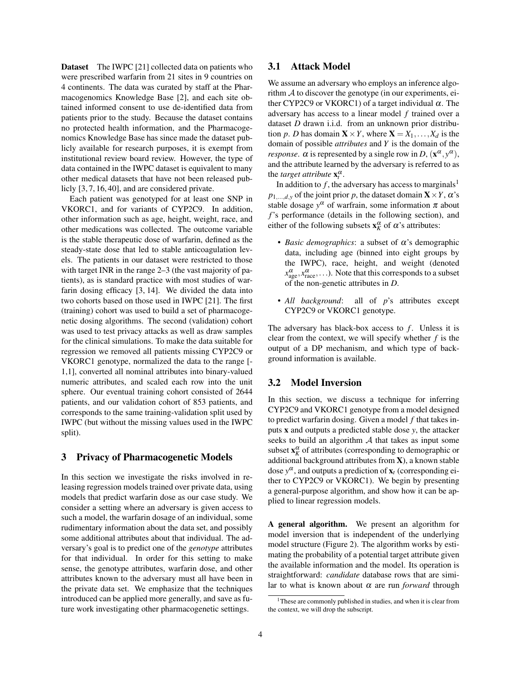Dataset The IWPC [21] collected data on patients who were prescribed warfarin from 21 sites in 9 countries on 4 continents. The data was curated by staff at the Pharmacogenomics Knowledge Base [2], and each site obtained informed consent to use de-identified data from patients prior to the study. Because the dataset contains no protected health information, and the Pharmacogenomics Knowledge Base has since made the dataset publicly available for research purposes, it is exempt from institutional review board review. However, the type of data contained in the IWPC dataset is equivalent to many other medical datasets that have not been released publicly [3, 7, 16, 40], and are considered private.

Each patient was genotyped for at least one SNP in VKORC1, and for variants of CYP2C9. In addition, other information such as age, height, weight, race, and other medications was collected. The outcome variable is the stable therapeutic dose of warfarin, defined as the steady-state dose that led to stable anticoagulation levels. The patients in our dataset were restricted to those with target INR in the range 2–3 (the vast majority of patients), as is standard practice with most studies of warfarin dosing efficacy [3, 14]. We divided the data into two cohorts based on those used in IWPC [21]. The first (training) cohort was used to build a set of pharmacogenetic dosing algorithms. The second (validation) cohort was used to test privacy attacks as well as draw samples for the clinical simulations. To make the data suitable for regression we removed all patients missing CYP2C9 or VKORC1 genotype, normalized the data to the range [- 1,1], converted all nominal attributes into binary-valued numeric attributes, and scaled each row into the unit sphere. Our eventual training cohort consisted of 2644 patients, and our validation cohort of 853 patients, and corresponds to the same training-validation split used by IWPC (but without the missing values used in the IWPC split).

## 3 Privacy of Pharmacogenetic Models

In this section we investigate the risks involved in releasing regression models trained over private data, using models that predict warfarin dose as our case study. We consider a setting where an adversary is given access to such a model, the warfarin dosage of an individual, some rudimentary information about the data set, and possibly some additional attributes about that individual. The adversary's goal is to predict one of the *genotype* attributes for that individual. In order for this setting to make sense, the genotype attributes, warfarin dose, and other attributes known to the adversary must all have been in the private data set. We emphasize that the techniques introduced can be applied more generally, and save as future work investigating other pharmacogenetic settings.

# 3.1 Attack Model

We assume an adversary who employs an inference algorithm  $A$  to discover the genotype (in our experiments, either CYP2C9 or VKORC1) of a target individual  $\alpha$ . The adversary has access to a linear model *f* trained over a dataset *D* drawn i.i.d. from an unknown prior distribution *p*. *D* has domain  $X \times Y$ , where  $X = X_1, \ldots, X_d$  is the domain of possible *attributes* and *Y* is the domain of the *response.*  $\alpha$  is represented by a single row in *D*,  $(\mathbf{x}^{\alpha}, y^{\alpha})$ , and the attribute learned by the adversary is referred to as the *target attribute*  $\mathbf{x}_t^{\alpha}$ .

In addition to  $f$ , the adversary has access to marginals<sup>1</sup>  $p_{1,\dots,d,y}$  of the joint prior *p*, the dataset domain **X** × *Y*,  $\alpha$ 's stable dosage  $y^{\alpha}$  of warfrain, some information  $\pi$  about *f*'s performance (details in the following section), and either of the following subsets  $\mathbf{x}_K^{\alpha}$  of  $\alpha$ 's attributes:

- *Basic demographics*: a subset of  $\alpha$ 's demographic data, including age (binned into eight groups by the IWPC), race, height, and weight (denoted  $x_{\text{age}}^{\alpha}, x_{\text{race}}^{\alpha}, \ldots$ ). Note that this corresponds to a subset of the non-genetic attributes in *D*.
- *All background*: all of *p*'s attributes except CYP2C9 or VKORC1 genotype.

The adversary has black-box access to *f*. Unless it is clear from the context, we will specify whether *f* is the output of a DP mechanism, and which type of background information is available.

## 3.2 Model Inversion

In this section, we discuss a technique for inferring CYP2C9 and VKORC1 genotype from a model designed to predict warfarin dosing. Given a model *f* that takes inputs x and outputs a predicted stable dose *y*, the attacker seeks to build an algorithm  $A$  that takes as input some subset  $\mathbf{x}_K^{\alpha}$  of attributes (corresponding to demographic or additional background attributes from X), a known stable dose  $y^{\alpha}$ , and outputs a prediction of  $\mathbf{x}_t$  (corresponding either to CYP2C9 or VKORC1). We begin by presenting a general-purpose algorithm, and show how it can be applied to linear regression models.

A general algorithm. We present an algorithm for model inversion that is independent of the underlying model structure (Figure 2). The algorithm works by estimating the probability of a potential target attribute given the available information and the model. Its operation is straightforward: *candidate* database rows that are similar to what is known about  $\alpha$  are run *forward* through

<sup>&</sup>lt;sup>1</sup>These are commonly published in studies, and when it is clear from the context, we will drop the subscript.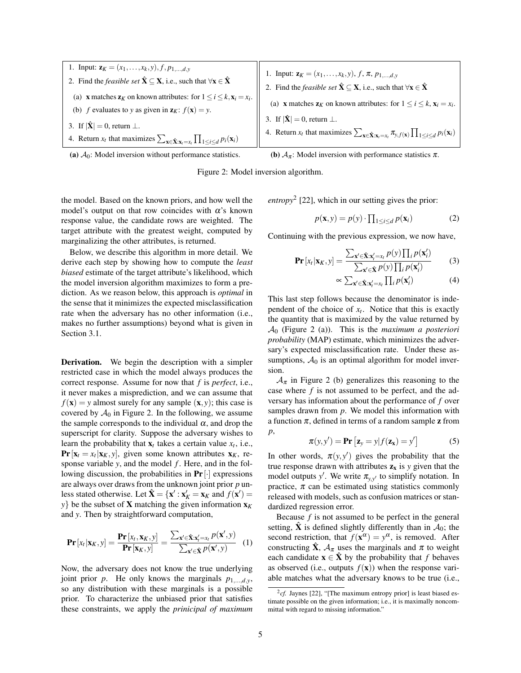1. Input:  $z_K = (x_1, \ldots, x_k, y), f, p_{1, \ldots, d, y}$ 2. Find the *feasible set*  $\hat{\mathbf{X}} \subset \mathbf{X}$ , i.e., such that  $\forall \mathbf{x} \in \hat{\mathbf{X}}$ (a) **x** matches  $z_K$  on known attributes: for  $1 \le i \le k$ ,  $x_i = x_i$ . (b) *f* evaluates to *y* as given in  $z_K$ :  $f(x) = y$ . 3. If  $|\hat{\mathbf{X}}| = 0$ , return  $\perp$ . 4. Return  $x_t$  that maximizes  $\sum_{\mathbf{x} \in \hat{\mathbf{X}} : \mathbf{x}_t = x_t} \prod_{1 \le i \le d} p_i(\mathbf{x}_i)$ 1. Input:  $\mathbf{z}_K = (x_1, \ldots, x_k, y), f, \pi, p_{1, \ldots, d, y}$ 2. Find the *feasible set*  $\hat{\mathbf{X}} \subset \mathbf{X}$ , i.e., such that  $\forall \mathbf{x} \in \hat{\mathbf{X}}$ (a) **x** matches  $\mathbf{z}_K$  on known attributes: for  $1 \le i \le k$ ,  $\mathbf{x}_i = x_i$ . 3. If  $|\hat{\mathbf{X}}| = 0$ , return  $\perp$ . 4. Return  $x_t$  that maximizes  $\sum_{\mathbf{x} \in \hat{\mathbf{X}} : \mathbf{x}_t = x_t} \pi_{y, f(\mathbf{x})} \prod_{1 \le i \le d} p_i(\mathbf{x}_i)$ 



(b)  $A_{\pi}$ : Model inversion with performance statistics  $\pi$ .



the model. Based on the known priors, and how well the model's output on that row coincides with  $\alpha$ 's known response value, the candidate rows are weighted. The target attribute with the greatest weight, computed by marginalizing the other attributes, is returned.

Below, we describe this algorithm in more detail. We derive each step by showing how to compute the *least biased* estimate of the target attribute's likelihood, which the model inversion algorithm maximizes to form a prediction. As we reason below, this approach is *optimal* in the sense that it minimizes the expected misclassification rate when the adversary has no other information (i.e., makes no further assumptions) beyond what is given in Section 3.1.

**Derivation.** We begin the description with a simpler restricted case in which the model always produces the correct response. Assume for now that *f* is *perfect*, i.e., it never makes a misprediction, and we can assume that  $f(\mathbf{x}) = y$  almost surely for any sample  $(\mathbf{x}, y)$ ; this case is covered by  $A_0$  in Figure 2. In the following, we assume the sample corresponds to the individual  $\alpha$ , and drop the superscript for clarity. Suppose the adversary wishes to learn the probability that  $\mathbf{x}_t$  takes a certain value  $x_t$ , i.e., **Pr**  $[\mathbf{x}_t = x_t | \mathbf{x}_K, y]$ , given some known attributes  $\mathbf{x}_K$ , response variable *y*, and the model *f*. Here, and in the following discussion, the probabilities in  $Pr[\cdot]$  expressions are always over draws from the unknown joint prior *p* unless stated otherwise. Let  $\hat{\mathbf{X}} = {\mathbf{x}' : \mathbf{x}'_K = \mathbf{x}_K \text{ and } f(\mathbf{x}') = \mathbf{X}'$ *y*} be the subset of **X** matching the given information  $\mathbf{x}_K$ and *y*. Then by straightforward computation,

$$
\mathbf{Pr}\left[x_t|\mathbf{x}_K,y\right] = \frac{\mathbf{Pr}\left[x_t,\mathbf{x}_K,y\right]}{\mathbf{Pr}\left[\mathbf{x}_K,y\right]} = \frac{\sum_{\mathbf{x}' \in \hat{\mathbf{X}}: \mathbf{x}'_t = x_t} p(\mathbf{x}',y)}{\sum_{\mathbf{x}' \in \hat{\mathbf{X}}} p(\mathbf{x}',y)} \quad (1)
$$

Now, the adversary does not know the true underlying joint prior *p*. He only knows the marginals  $p_{1,\dots,d,y}$ , so any distribution with these marginals is a possible prior. To characterize the unbiased prior that satisfies these constraints, we apply the *prinicipal of maximum* *entropy*<sup>2</sup> [22], which in our setting gives the prior:

$$
p(\mathbf{x}, y) = p(y) \cdot \prod_{1 \le i \le d} p(\mathbf{x}_i)
$$
 (2)

Continuing with the previous expression, we now have,

$$
\mathbf{Pr}\left[x_t|\mathbf{x}_K,y\right] = \frac{\sum_{\mathbf{x}' \in \hat{\mathbf{X}}: \mathbf{x}'_t = x_t} p(y) \prod_i p(\mathbf{x}'_i)}{\sum_{\mathbf{x}' \in \hat{\mathbf{X}}} p(y) \prod_i p(\mathbf{x}'_i)}
$$
(3)

$$
\propto \sum_{\mathbf{x}' \in \hat{\mathbf{X}}: \mathbf{x}'_t = x_t} \prod_i p(\mathbf{x}'_i) \tag{4}
$$

This last step follows because the denominator is independent of the choice of  $x_t$ . Notice that this is exactly the quantity that is maximized by the value returned by A<sup>0</sup> (Figure 2 (a)). This is the *maximum a posteriori probability* (MAP) estimate, which minimizes the adversary's expected misclassification rate. Under these assumptions,  $A_0$  is an optimal algorithm for model inversion.

 $A_{\pi}$  in Figure 2 (b) generalizes this reasoning to the case where *f* is not assumed to be perfect, and the adversary has information about the performance of *f* over samples drawn from *p*. We model this information with a function  $\pi$ , defined in terms of a random sample **z** from *p*,

$$
\pi(y, y') = \mathbf{Pr}\left[\mathbf{z}_y = y | f(\mathbf{z}_x) = y'\right]
$$
 (5)

In other words,  $\pi(y, y')$  gives the probability that the true response drawn with attributes  $z_x$  is *y* given that the model outputs *y'*. We write  $\pi_{y,y'}$  to simplify notation. In practice,  $\pi$  can be estimated using statistics commonly released with models, such as confusion matrices or standardized regression error.

Because *f* is not assumed to be perfect in the general setting,  $\hat{\mathbf{X}}$  is defined slightly differently than in  $\mathcal{A}_0$ ; the second restriction, that  $f(\mathbf{x}^{\alpha}) = y^{\alpha}$ , is removed. After constructing  $\hat{\mathbf{X}}$ ,  $\mathcal{A}_{\pi}$  uses the marginals and  $\pi$  to weight each candidate  $\mathbf{x} \in \hat{\mathbf{X}}$  by the probability that *f* behaves as observed (i.e., outputs  $f(\mathbf{x})$ ) when the response variable matches what the adversary knows to be true (i.e.,

 $^{2}$ cf. Jaynes [22], "[The maximum entropy prior] is least biased estimate possible on the given information; i.e., it is maximally noncommittal with regard to missing information."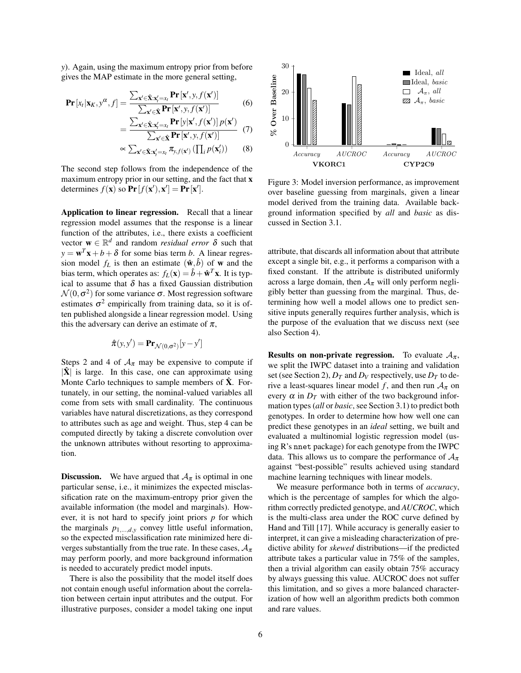*y*). Again, using the maximum entropy prior from before gives the MAP estimate in the more general setting,

$$
\mathbf{Pr}\left[x_t|\mathbf{x}_K, y^\alpha, f\right] = \frac{\sum_{\mathbf{x}' \in \hat{\mathbf{X}}: \mathbf{x}'_t = x_t} \mathbf{Pr}\left[\mathbf{x}', y, f(\mathbf{x}')\right]}{\sum_{\mathbf{x}' \in \hat{\mathbf{X}}} \mathbf{Pr}\left[\mathbf{x}', y, f(\mathbf{x}')\right]} \tag{6}
$$
\n
$$
\sum_{\mathbf{x}' \in \hat{\mathbf{X}}: \mathbf{x}' = r_t} \mathbf{Pr}\left[y|\mathbf{x}', f(\mathbf{x}')\right] p(\mathbf{x}')
$$

$$
= \frac{\sum_{\mathbf{x}' \in \hat{\mathbf{X}}: \mathbf{x}'_i = x_i} \mathbf{Pr}\left[\mathbf{y} | \mathbf{x}', f(\mathbf{x}')\right] p(\mathbf{x}')}{\sum_{\mathbf{x}' \in \hat{\mathbf{X}}} \mathbf{Pr}\left[\mathbf{x}', y, f(\mathbf{x}')\right]} \quad (7)
$$

$$
\propto \sum_{\mathbf{x}' \in \hat{\mathbf{X}}: \mathbf{x}'_i = x_i} \pi_{\mathbf{y}, f(\mathbf{x}')} \left(\prod_i p(\mathbf{x}'_i)\right) \quad (8)
$$

The second step follows from the independence of the maximum entropy prior in our setting, and the fact that x determines  $f(\mathbf{x})$  so  $\mathbf{Pr}[f(\mathbf{x}'), \mathbf{x}'] = \mathbf{Pr}[\mathbf{x}'].$ 

Application to linear regression. Recall that a linear regression model assumes that the response is a linear function of the attributes, i.e., there exists a coefficient vector  $\mathbf{w} \in \mathbb{R}^d$  and random *residual error*  $\delta$  such that  $y = \mathbf{w}^T \mathbf{x} + b + \delta$  for some bias term *b*. A linear regression model  $f_L$  is then an estimate  $(\hat{\mathbf{w}}, \hat{b})$  of **w** and the bias term, which operates as:  $f_L(\mathbf{x}) = \hat{b} + \hat{\mathbf{w}}^T \mathbf{x}$ . It is typical to assume that  $\delta$  has a fixed Gaussian distribution  $\mathcal{N}(0, \sigma^2)$  for some variance  $\sigma$ . Most regression software estimates  $\sigma^2$  empirically from training data, so it is often published alongside a linear regression model. Using this the adversary can derive an estimate of  $\pi$ ,

$$
\hat{\pi}(y, y') = \mathbf{Pr}_{\mathcal{N}(0, \sigma^2)}[y - y']
$$

Steps 2 and 4 of  $A_{\pi}$  may be expensive to compute if  $|\hat{\mathbf{X}}|$  is large. In this case, one can approximate using Monte Carlo techniques to sample members of  $\hat{\mathbf{X}}$ . Fortunately, in our setting, the nominal-valued variables all come from sets with small cardinality. The continuous variables have natural discretizations, as they correspond to attributes such as age and weight. Thus, step 4 can be computed directly by taking a discrete convolution over the unknown attributes without resorting to approximation.

**Discussion.** We have argued that  $A_{\pi}$  is optimal in one particular sense, i.e., it minimizes the expected misclassification rate on the maximum-entropy prior given the available information (the model and marginals). However, it is not hard to specify joint priors *p* for which the marginals  $p_{1,\dots,d,y}$  convey little useful information, so the expected misclassification rate minimized here diverges substantially from the true rate. In these cases,  $A_{\pi}$ may perform poorly, and more background information is needed to accurately predict model inputs.

There is also the possibility that the model itself does not contain enough useful information about the correlation between certain input attributes and the output. For illustrative purposes, consider a model taking one input



Figure 3: Model inversion performance, as improvement over baseline guessing from marginals, given a linear model derived from the training data. Available background information specified by *all* and *basic* as discussed in Section 3.1.

attribute, that discards all information about that attribute except a single bit, e.g., it performs a comparison with a fixed constant. If the attribute is distributed uniformly across a large domain, then  $A_{\pi}$  will only perform negligibly better than guessing from the marginal. Thus, determining how well a model allows one to predict sensitive inputs generally requires further analysis, which is the purpose of the evaluation that we discuss next (see also Section 4).

**Results on non-private regression.** To evaluate  $A_{\pi}$ , we split the IWPC dataset into a training and validation set (see Section 2),  $D_T$  and  $D_V$  respectively, use  $D_T$  to derive a least-squares linear model *f*, and then run  $A_{\pi}$  on every  $\alpha$  in  $D_T$  with either of the two background information types (*all* or *basic*, see Section 3.1) to predict both genotypes. In order to determine how how well one can predict these genotypes in an *ideal* setting, we built and evaluated a multinomial logistic regression model (using R's nnet package) for each genotype from the IWPC data. This allows us to compare the performance of  $A_{\pi}$ against "best-possible" results achieved using standard machine learning techniques with linear models.

We measure performance both in terms of *accuracy*, which is the percentage of samples for which the algorithm correctly predicted genotype, and *AUCROC*, which is the multi-class area under the ROC curve defined by Hand and Till [17]. While accuracy is generally easier to interpret, it can give a misleading characterization of predictive ability for *skewed* distributions—if the predicted attribute takes a particular value in 75% of the samples, then a trivial algorithm can easily obtain 75% accuracy by always guessing this value. AUCROC does not suffer this limitation, and so gives a more balanced characterization of how well an algorithm predicts both common and rare values.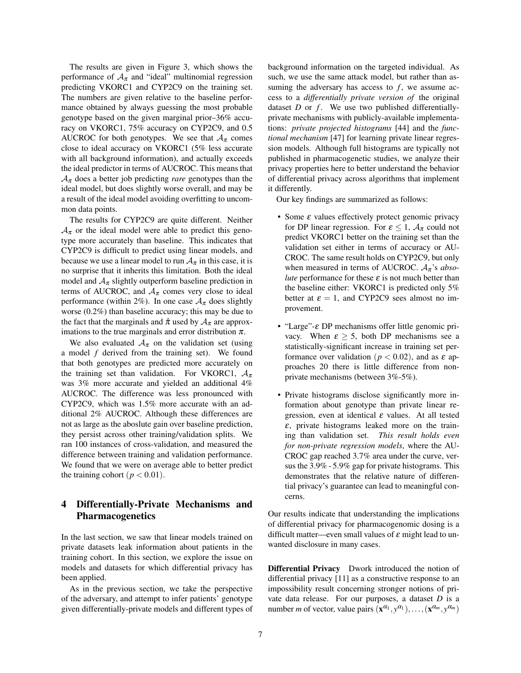The results are given in Figure 3, which shows the performance of  $A_{\pi}$  and "ideal" multinomial regression predicting VKORC1 and CYP2C9 on the training set. The numbers are given relative to the baseline performance obtained by always guessing the most probable genotype based on the given marginal prior–36% accuracy on VKORC1, 75% accuracy on CYP2C9, and 0.5 AUCROC for both genotypes. We see that  $A_{\pi}$  comes close to ideal accuracy on VKORC1 (5% less accurate with all background information), and actually exceeds the ideal predictor in terms of AUCROC. This means that  $A_{\pi}$  does a better job predicting *rare* genotypes than the ideal model, but does slightly worse overall, and may be a result of the ideal model avoiding overfitting to uncommon data points.

The results for CYP2C9 are quite different. Neither  $A_{\pi}$  or the ideal model were able to predict this genotype more accurately than baseline. This indicates that CYP2C9 is difficult to predict using linear models, and because we use a linear model to run  $A_{\pi}$  in this case, it is no surprise that it inherits this limitation. Both the ideal model and  $A_{\pi}$  slightly outperform baseline prediction in terms of AUCROC, and  $A_{\pi}$  comes very close to ideal performance (within 2%). In one case  $A_{\pi}$  does slightly worse (0.2%) than baseline accuracy; this may be due to the fact that the marginals and  $\hat{\pi}$  used by  $A_{\pi}$  are approximations to the true marginals and error distribution  $\pi$ .

We also evaluated  $A_{\pi}$  on the validation set (using a model *f* derived from the training set). We found that both genotypes are predicted more accurately on the training set than validation. For VKORC1,  $A_{\pi}$ was 3% more accurate and yielded an additional 4% AUCROC. The difference was less pronounced with CYP2C9, which was 1.5% more accurate with an additional 2% AUCROC. Although these differences are not as large as the aboslute gain over baseline prediction, they persist across other training/validation splits. We ran 100 instances of cross-validation, and measured the difference between training and validation performance. We found that we were on average able to better predict the training cohort  $(p < 0.01)$ .

# 4 Differentially-Private Mechanisms and Pharmacogenetics

In the last section, we saw that linear models trained on private datasets leak information about patients in the training cohort. In this section, we explore the issue on models and datasets for which differential privacy has been applied.

As in the previous section, we take the perspective of the adversary, and attempt to infer patients' genotype given differentially-private models and different types of background information on the targeted individual. As such, we use the same attack model, but rather than assuming the adversary has access to  $f$ , we assume access to a *differentially private version of* the original dataset *D* or *f*. We use two published differentiallyprivate mechanisms with publicly-available implementations: *private projected histograms* [44] and the *functional mechanism* [47] for learning private linear regression models. Although full histograms are typically not published in pharmacogenetic studies, we analyze their privacy properties here to better understand the behavior of differential privacy across algorithms that implement it differently.

Our key findings are summarized as follows:

- Some *ε* values effectively protect genomic privacy for DP linear regression. For  $\varepsilon \leq 1$ ,  $A_{\pi}$  could not predict VKORC1 better on the training set than the validation set either in terms of accuracy or AU-CROC. The same result holds on CYP2C9, but only when measured in terms of AUCROC.  $A_{\pi}$ 's *absolute* performance for these  $\varepsilon$  is not much better than the baseline either: VKORC1 is predicted only 5% better at  $\varepsilon = 1$ , and CYP2C9 sees almost no improvement.
- "Large"-ε DP mechanisms offer little genomic privacy. When  $\varepsilon \geq 5$ , both DP mechanisms see a statistically-significant increase in training set performance over validation ( $p < 0.02$ ), and as  $\varepsilon$  approaches 20 there is little difference from nonprivate mechanisms (between 3%-5%).
- Private histograms disclose significantly more information about genotype than private linear regression, even at identical  $\varepsilon$  values. At all tested  $\varepsilon$ , private histograms leaked more on the training than validation set. *This result holds even for non-private regression models*, where the AU-CROC gap reached 3.7% area under the curve, versus the 3.9% - 5.9% gap for private histograms. This demonstrates that the relative nature of differential privacy's guarantee can lead to meaningful concerns.

Our results indicate that understanding the implications of differential privacy for pharmacogenomic dosing is a difficult matter—even small values of  $\varepsilon$  might lead to unwanted disclosure in many cases.

Differential Privacy Dwork introduced the notion of differential privacy [11] as a constructive response to an impossibility result concerning stronger notions of private data release. For our purposes, a dataset *D* is a number *m* of vector, value pairs  $(\mathbf{x}^{\alpha_1}, y^{\alpha_1}), \dots, (\mathbf{x}^{\alpha_m}, y^{\alpha_m})$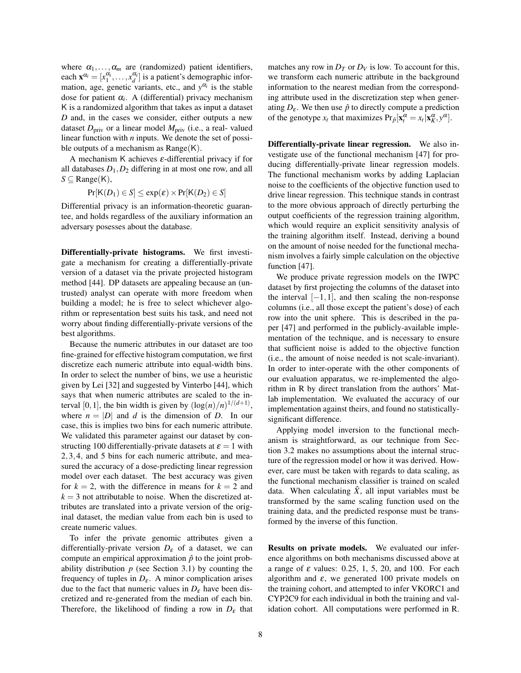where  $\alpha_1, \ldots, \alpha_m$  are (randomized) patient identifiers, each  $\mathbf{x}^{\alpha_i} = [x_1^{\alpha_i}, \dots, x_d^{\alpha_i}]$  is a patient's demographic information, age, genetic variants, etc., and  $y^{\alpha_i}$  is the stable dose for patient α*<sup>i</sup>* . A (differential) privacy mechanism K is a randomized algorithm that takes as input a dataset *D* and, in the cases we consider, either outputs a new dataset  $D_{\text{priv}}$  or a linear model  $M_{\text{priv}}$  (i.e., a real-valued linear function with *n* inputs. We denote the set of possible outputs of a mechanism as  $Range(K)$ .

A mechanism K achieves  $\varepsilon$ -differential privacy if for all databases  $D_1$ ,  $D_2$  differing in at most one row, and all  $S \subseteq \text{Range}(K)$ ,

$$
Pr[K(D_1) \in S] \leq exp(\varepsilon) \times Pr[K(D_2) \in S]
$$

Differential privacy is an information-theoretic guarantee, and holds regardless of the auxiliary information an adversary posesses about the database.

Differentially-private histograms. We first investigate a mechanism for creating a differentially-private version of a dataset via the private projected histogram method [44]. DP datasets are appealing because an (untrusted) analyst can operate with more freedom when building a model; he is free to select whichever algorithm or representation best suits his task, and need not worry about finding differentially-private versions of the best algorithms.

Because the numeric attributes in our dataset are too fine-grained for effective histogram computation, we first discretize each numeric attribute into equal-width bins. In order to select the number of bins, we use a heuristic given by Lei [32] and suggested by Vinterbo [44], which says that when numeric attributes are scaled to the interval [0, 1], the bin width is given by  $(\log(n)/n)^{1/(d+1)}$ , where  $n = |D|$  and *d* is the dimension of *D*. In our case, this is implies two bins for each numeric attribute. We validated this parameter against our dataset by constructing 100 differentially-private datasets at  $\varepsilon = 1$  with 2,3,4, and 5 bins for each numeric attribute, and measured the accuracy of a dose-predicting linear regression model over each dataset. The best accuracy was given for  $k = 2$ , with the difference in means for  $k = 2$  and  $k = 3$  not attributable to noise. When the discretized attributes are translated into a private version of the original dataset, the median value from each bin is used to create numeric values.

To infer the private genomic attributes given a differentially-private version  $D_{\varepsilon}$  of a dataset, we can compute an empirical approximation  $\hat{p}$  to the joint probability distribution  $p$  (see Section 3.1) by counting the frequency of tuples in  $D_{\varepsilon}$ . A minor complication arises due to the fact that numeric values in  $D_{\varepsilon}$  have been discretized and re-generated from the median of each bin. Therefore, the likelihood of finding a row in  $D_{\varepsilon}$  that matches any row in  $D_T$  or  $D_V$  is low. To account for this, we transform each numeric attribute in the background information to the nearest median from the corresponding attribute used in the discretization step when generating  $D_{\varepsilon}$ . We then use  $\hat{p}$  to directly compute a prediction of the genotype  $x_t$  that maximizes  $Pr_{\hat{p}}[\mathbf{x}_t^{\alpha} = x_t | \mathbf{x}_K^{\alpha}, y^{\alpha}]$ .

Differentially-private linear regression. We also investigate use of the functional mechanism [47] for producing differentially-private linear regression models. The functional mechanism works by adding Laplacian noise to the coefficients of the objective function used to drive linear regression. This technique stands in contrast to the more obvious approach of directly perturbing the output coefficients of the regression training algorithm, which would require an explicit sensitivity analysis of the training algorithm itself. Instead, deriving a bound on the amount of noise needed for the functional mechanism involves a fairly simple calculation on the objective function [47].

We produce private regression models on the IWPC dataset by first projecting the columns of the dataset into the interval  $[-1,1]$ , and then scaling the non-response columns (i.e., all those except the patient's dose) of each row into the unit sphere. This is described in the paper [47] and performed in the publicly-available implementation of the technique, and is necessary to ensure that sufficient noise is added to the objective function (i.e., the amount of noise needed is not scale-invariant). In order to inter-operate with the other components of our evaluation apparatus, we re-implemented the algorithm in R by direct translation from the authors' Matlab implementation. We evaluated the accuracy of our implementation against theirs, and found no statisticallysignificant difference.

Applying model inversion to the functional mechanism is straightforward, as our technique from Section 3.2 makes no assumptions about the internal structure of the regression model or how it was derived. However, care must be taken with regards to data scaling, as the functional mechanism classifier is trained on scaled data. When calculating  $\hat{X}$ , all input variables must be transformed by the same scaling function used on the training data, and the predicted response must be transformed by the inverse of this function.

Results on private models. We evaluated our inference algorithms on both mechanisms discussed above at a range of  $\varepsilon$  values: 0.25, 1, 5, 20, and 100. For each algorithm and  $\varepsilon$ , we generated 100 private models on the training cohort, and attempted to infer VKORC1 and CYP2C9 for each individual in both the training and validation cohort. All computations were performed in R.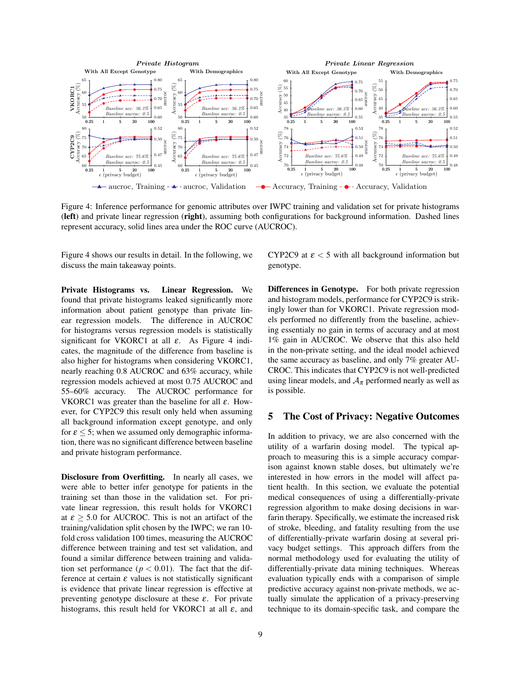

Figure 4: Inference performance for genomic attributes over IWPC training and validation set for private histograms (left) and private linear regression (right), assuming both configurations for background information. Dashed lines represent accuracy, solid lines area under the ROC curve (AUCROC).

Figure 4 shows our results in detail. In the following, we discuss the main takeaway points.

Private Histograms vs. Linear Regression. We found that private histograms leaked significantly more information about patient genotype than private linear regression models. The difference in AUCROC for histograms versus regression models is statistically significant for VKORC1 at all  $\varepsilon$ . As Figure 4 indicates, the magnitude of the difference from baseline is also higher for histograms when considering VKORC1, nearly reaching 0.8 AUCROC and 63% accuracy, while regression models achieved at most 0.75 AUCROC and 55–60% accuracy. The AUCROC performance for VKORC1 was greater than the baseline for all  $\varepsilon$ . However, for CYP2C9 this result only held when assuming all background information except genotype, and only for  $\varepsilon \leq 5$ ; when we assumed only demographic information, there was no significant difference between baseline and private histogram performance.

Disclosure from Overfitting. In nearly all cases, we were able to better infer genotype for patients in the training set than those in the validation set. For private linear regression, this result holds for VKORC1 at  $\epsilon \geq 5.0$  for AUCROC. This is not an artifact of the training/validation split chosen by the IWPC; we ran 10 fold cross validation 100 times, measuring the AUCROC difference between training and test set validation, and found a similar difference between training and validation set performance ( $p < 0.01$ ). The fact that the difference at certain  $\varepsilon$  values is not statistically significant is evidence that private linear regression is effective at preventing genotype disclosure at these  $\varepsilon$ . For private histograms, this result held for VKORC1 at all  $\varepsilon$ , and CYP2C9 at  $\epsilon$  < 5 with all background information but genotype.

Differences in Genotype. For both private regression and histogram models, performance for CYP2C9 is strikingly lower than for VKORC1. Private regression models performed no differently from the baseline, achieving essentialy no gain in terms of accuracy and at most 1% gain in AUCROC. We observe that this also held in the non-private setting, and the ideal model achieved the same accuracy as baseline, and only 7% greater AU-CROC. This indicates that CYP2C9 is not well-predicted using linear models, and  $A_{\pi}$  performed nearly as well as is possible.

## 5 The Cost of Privacy: Negative Outcomes

In addition to privacy, we are also concerned with the utility of a warfarin dosing model. The typical approach to measuring this is a simple accuracy comparison against known stable doses, but ultimately we're interested in how errors in the model will affect patient health. In this section, we evaluate the potential medical consequences of using a differentially-private regression algorithm to make dosing decisions in warfarin therapy. Specifically, we estimate the increased risk of stroke, bleeding, and fatality resulting from the use of differentially-private warfarin dosing at several privacy budget settings. This approach differs from the normal methodology used for evaluating the utility of differentially-private data mining techniques. Whereas evaluation typically ends with a comparison of simple predictive accuracy against non-private methods, we actually simulate the application of a privacy-preserving technique to its domain-specific task, and compare the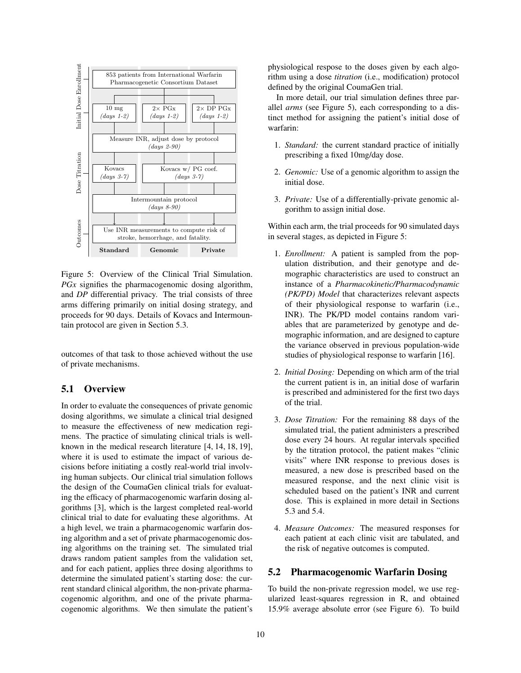

Figure 5: Overview of the Clinical Trial Simulation. *PGx* signifies the pharmacogenomic dosing algorithm, and *DP* differential privacy. The trial consists of three arms differing primarily on initial dosing strategy, and proceeds for 90 days. Details of Kovacs and Intermountain protocol are given in Section 5.3.

outcomes of that task to those achieved without the use of private mechanisms.

## 5.1 Overview

In order to evaluate the consequences of private genomic dosing algorithms, we simulate a clinical trial designed to measure the effectiveness of new medication regimens. The practice of simulating clinical trials is wellknown in the medical research literature [4, 14, 18, 19], where it is used to estimate the impact of various decisions before initiating a costly real-world trial involving human subjects. Our clinical trial simulation follows the design of the CoumaGen clinical trials for evaluating the efficacy of pharmacogenomic warfarin dosing algorithms [3], which is the largest completed real-world clinical trial to date for evaluating these algorithms. At a high level, we train a pharmacogenomic warfarin dosing algorithm and a set of private pharmacogenomic dosing algorithms on the training set. The simulated trial draws random patient samples from the validation set, and for each patient, applies three dosing algorithms to determine the simulated patient's starting dose: the current standard clinical algorithm, the non-private pharmacogenomic algorithm, and one of the private pharmacogenomic algorithms. We then simulate the patient's physiological respose to the doses given by each algorithm using a dose *titration* (i.e., modification) protocol defined by the original CoumaGen trial.

In more detail, our trial simulation defines three parallel *arms* (see Figure 5), each corresponding to a distinct method for assigning the patient's initial dose of warfarin:

- 1. *Standard:* the current standard practice of initially prescribing a fixed 10mg/day dose.
- 2. *Genomic:* Use of a genomic algorithm to assign the initial dose.
- 3. *Private:* Use of a differentially-private genomic algorithm to assign initial dose.

Within each arm, the trial proceeds for 90 simulated days in several stages, as depicted in Figure 5:

- 1. *Enrollment:* A patient is sampled from the population distribution, and their genotype and demographic characteristics are used to construct an instance of a *Pharmacokinetic/Pharmacodynamic (PK/PD) Model* that characterizes relevant aspects of their physiological response to warfarin (i.e., INR). The PK/PD model contains random variables that are parameterized by genotype and demographic information, and are designed to capture the variance observed in previous population-wide studies of physiological response to warfarin [16].
- 2. *Initial Dosing:* Depending on which arm of the trial the current patient is in, an initial dose of warfarin is prescribed and administered for the first two days of the trial.
- 3. *Dose Titration:* For the remaining 88 days of the simulated trial, the patient administers a prescribed dose every 24 hours. At regular intervals specified by the titration protocol, the patient makes "clinic visits" where INR response to previous doses is measured, a new dose is prescribed based on the measured response, and the next clinic visit is scheduled based on the patient's INR and current dose. This is explained in more detail in Sections 5.3 and 5.4.
- 4. *Measure Outcomes:* The measured responses for each patient at each clinic visit are tabulated, and the risk of negative outcomes is computed.

### 5.2 Pharmacogenomic Warfarin Dosing

To build the non-private regression model, we use regularized least-squares regression in R, and obtained 15.9% average absolute error (see Figure 6). To build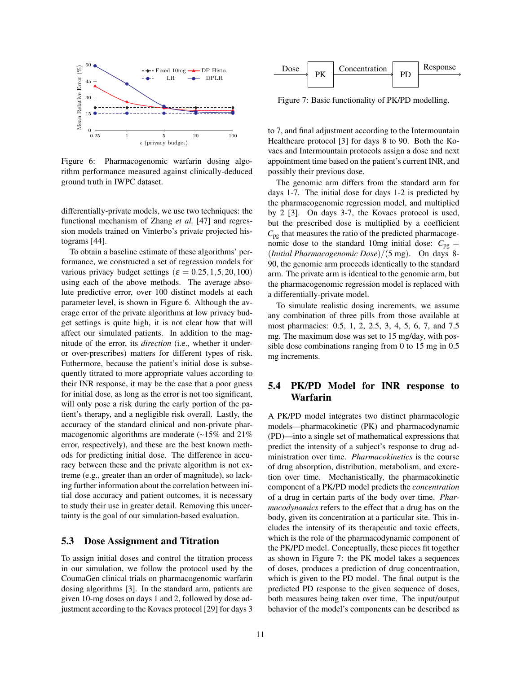

Figure 6: Pharmacogenomic warfarin dosing algorithm performance measured against clinically-deduced ground truth in IWPC dataset.

differentially-private models, we use two techniques: the functional mechanism of Zhang *et al.* [47] and regression models trained on Vinterbo's private projected histograms [44].

To obtain a baseline estimate of these algorithms' performance, we constructed a set of regression models for various privacy budget settings ( $\varepsilon = 0.25, 1, 5, 20, 100$ ) using each of the above methods. The average absolute predictive error, over 100 distinct models at each parameter level, is shown in Figure 6. Although the average error of the private algorithms at low privacy budget settings is quite high, it is not clear how that will affect our simulated patients. In addition to the magnitude of the error, its *direction* (i.e., whether it underor over-prescribes) matters for different types of risk. Futhermore, because the patient's initial dose is subsequently titrated to more appropriate values according to their INR response, it may be the case that a poor guess for initial dose, as long as the error is not too significant, will only pose a risk during the early portion of the patient's therapy, and a negligible risk overall. Lastly, the accuracy of the standard clinical and non-private pharmacogenomic algorithms are moderate (~15% and 21% error, respectively), and these are the best known methods for predicting initial dose. The difference in accuracy between these and the private algorithm is not extreme (e.g., greater than an order of magnitude), so lacking further information about the correlation between initial dose accuracy and patient outcomes, it is necessary to study their use in greater detail. Removing this uncertainty is the goal of our simulation-based evaluation.

#### 5.3 Dose Assignment and Titration

To assign initial doses and control the titration process in our simulation, we follow the protocol used by the CoumaGen clinical trials on pharmacogenomic warfarin dosing algorithms [3]. In the standard arm, patients are given 10-mg doses on days 1 and 2, followed by dose adjustment according to the Kovacs protocol [29] for days 3



Figure 7: Basic functionality of PK/PD modelling.

to 7, and final adjustment according to the Intermountain Healthcare protocol [3] for days 8 to 90. Both the Kovacs and Intermountain protocols assign a dose and next appointment time based on the patient's current INR, and possibly their previous dose.

The genomic arm differs from the standard arm for days 1-7. The initial dose for days 1-2 is predicted by the pharmacogenomic regression model, and multiplied by 2 [3]. On days 3-7, the Kovacs protocol is used, but the prescribed dose is multiplied by a coefficient *C*pg that measures the ratio of the predicted pharmacogenomic dose to the standard 10mg initial dose:  $C_{\text{pg}} =$ (*Initial Pharmacogenomic Dose*)/(5 mg). On days 8- 90, the genomic arm proceeds identically to the standard arm. The private arm is identical to the genomic arm, but the pharmacogenomic regression model is replaced with a differentially-private model.

To simulate realistic dosing increments, we assume any combination of three pills from those available at most pharmacies: 0.5, 1, 2, 2.5, 3, 4, 5, 6, 7, and 7.5 mg. The maximum dose was set to 15 mg/day, with possible dose combinations ranging from 0 to 15 mg in 0.5 mg increments.

# 5.4 PK/PD Model for INR response to Warfarin

A PK/PD model integrates two distinct pharmacologic models—pharmacokinetic (PK) and pharmacodynamic (PD)—into a single set of mathematical expressions that predict the intensity of a subject's response to drug administration over time. *Pharmacokinetics* is the course of drug absorption, distribution, metabolism, and excretion over time. Mechanistically, the pharmacokinetic component of a PK/PD model predicts the *concentration* of a drug in certain parts of the body over time. *Pharmacodynamics* refers to the effect that a drug has on the body, given its concentration at a particular site. This includes the intensity of its therapeutic and toxic effects, which is the role of the pharmacodynamic component of the PK/PD model. Conceptually, these pieces fit together as shown in Figure 7: the PK model takes a sequences of doses, produces a prediction of drug concentraation, which is given to the PD model. The final output is the predicted PD response to the given sequence of doses, both measures being taken over time. The input/output behavior of the model's components can be described as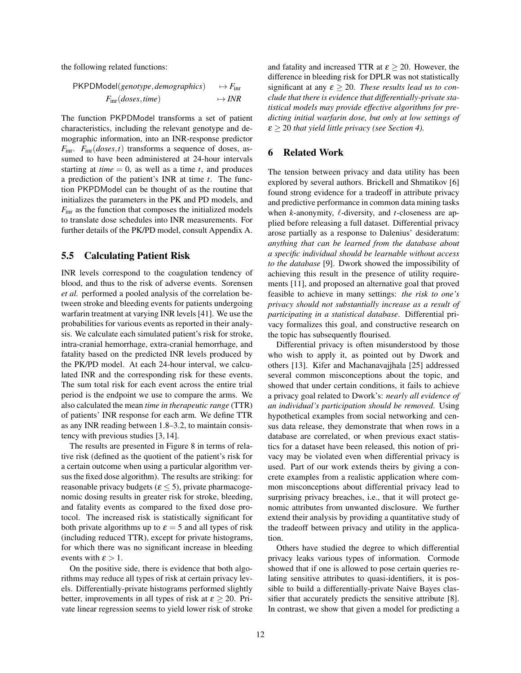the following related functions:

$$
PKPDModel(genotype, demographies) \rightarrow F_{\text{intr}}F_{\text{intr}}(does, time) \rightarrow INR
$$

The function PKPDModel transforms a set of patient characteristics, including the relevant genotype and demographic information, into an INR-response predictor *F*inr. *F*inr(*doses*,*t*) transforms a sequence of doses, assumed to have been administered at 24-hour intervals starting at *time*  $= 0$ , as well as a time *t*, and produces a prediction of the patient's INR at time *t*. The function PKPDModel can be thought of as the routine that initializes the parameters in the PK and PD models, and *F*inr as the function that composes the initialized models to translate dose schedules into INR measurements. For further details of the PK/PD model, consult Appendix A.

#### 5.5 Calculating Patient Risk

INR levels correspond to the coagulation tendency of blood, and thus to the risk of adverse events. Sorensen *et al.* performed a pooled analysis of the correlation between stroke and bleeding events for patients undergoing warfarin treatment at varying INR levels [41]. We use the probabilities for various events as reported in their analysis. We calculate each simulated patient's risk for stroke, intra-cranial hemorrhage, extra-cranial hemorrhage, and fatality based on the predicted INR levels produced by the PK/PD model. At each 24-hour interval, we calculated INR and the corresponding risk for these events. The sum total risk for each event across the entire trial period is the endpoint we use to compare the arms. We also calculated the mean *time in therapeutic range* (TTR) of patients' INR response for each arm. We define TTR as any INR reading between 1.8–3.2, to maintain consistency with previous studies [3, 14].

The results are presented in Figure 8 in terms of relative risk (defined as the quotient of the patient's risk for a certain outcome when using a particular algorithm versus the fixed dose algorithm). The results are striking: for reasonable privacy budgets ( $\varepsilon \leq 5$ ), private pharmacogenomic dosing results in greater risk for stroke, bleeding, and fatality events as compared to the fixed dose protocol. The increased risk is statistically significant for both private algorithms up to  $\varepsilon = 5$  and all types of risk (including reduced TTR), except for private histograms, for which there was no significant increase in bleeding events with  $\varepsilon > 1$ .

On the positive side, there is evidence that both algorithms may reduce all types of risk at certain privacy levels. Differentially-private histograms performed slightly better, improvements in all types of risk at  $\varepsilon \geq 20$ . Private linear regression seems to yield lower risk of stroke and fatality and increased TTR at  $\varepsilon > 20$ . However, the difference in bleeding risk for DPLR was not statistically significant at any  $\varepsilon \geq 20$ . *These results lead us to conclude that there is evidence that differentially-private statistical models may provide effective algorithms for predicting initial warfarin dose, but only at low settings of* ε ≥ 20 *that yield little privacy (see Section 4).*

## 6 Related Work

The tension between privacy and data utility has been explored by several authors. Brickell and Shmatikov [6] found strong evidence for a tradeoff in attribute privacy and predictive performance in common data mining tasks when *k*-anonymity,  $\ell$ -diversity, and *t*-closeness are applied before releasing a full dataset. Differential privacy arose partially as a response to Dalenius' desideratum: *anything that can be learned from the database about a specific individual should be learnable without access to the database* [9]. Dwork showed the impossibility of achieving this result in the presence of utility requirements [11], and proposed an alternative goal that proved feasible to achieve in many settings: *the risk to one's privacy should not substantially increase as a result of participating in a statistical database*. Differential privacy formalizes this goal, and constructive research on the topic has subsequently flourised.

Differential privacy is often misunderstood by those who wish to apply it, as pointed out by Dwork and others [13]. Kifer and Machanavajjhala [25] addressed several common misconceptions about the topic, and showed that under certain conditions, it fails to achieve a privacy goal related to Dwork's: *nearly all evidence of an individual's participation should be removed*. Using hypothetical examples from social networking and census data release, they demonstrate that when rows in a database are correlated, or when previous exact statistics for a dataset have been released, this notion of privacy may be violated even when differential privacy is used. Part of our work extends theirs by giving a concrete examples from a realistic application where common misconceptions about differential privacy lead to surprising privacy breaches, i.e., that it will protect genomic attributes from unwanted disclosure. We further extend their analysis by providing a quantitative study of the tradeoff between privacy and utility in the application.

Others have studied the degree to which differential privacy leaks various types of information. Cormode showed that if one is allowed to pose certain queries relating sensitive attributes to quasi-identifiers, it is possible to build a differentially-private Naive Bayes classifier that accurately predicts the sensitive attribute [8]. In contrast, we show that given a model for predicting a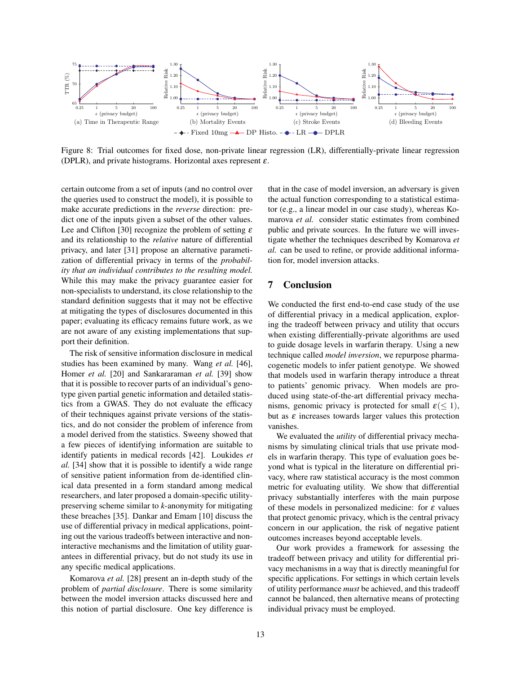

Figure 8: Trial outcomes for fixed dose, non-private linear regression (LR), differentially-private linear regression (DPLR), and private histograms. Horizontal axes represent  $\varepsilon$ .

certain outcome from a set of inputs (and no control over the queries used to construct the model), it is possible to make accurate predictions in the *reverse* direction: predict one of the inputs given a subset of the other values. Lee and Clifton [30] recognize the problem of setting  $\varepsilon$ and its relationship to the *relative* nature of differential privacy, and later [31] propose an alternative parametization of differential privacy in terms of the *probability that an individual contributes to the resulting model.* While this may make the privacy guarantee easier for non-specialists to understand, its close relationship to the standard definition suggests that it may not be effective at mitigating the types of disclosures documented in this paper; evaluating its efficacy remains future work, as we are not aware of any existing implementations that support their definition.

The risk of sensitive information disclosure in medical studies has been examined by many. Wang *et al.* [46], Homer *et al.* [20] and Sankararaman *et al.* [39] show that it is possible to recover parts of an individual's genotype given partial genetic information and detailed statistics from a GWAS. They do not evaluate the efficacy of their techniques against private versions of the statistics, and do not consider the problem of inference from a model derived from the statistics. Sweeny showed that a few pieces of identifying information are suitable to identify patients in medical records [42]. Loukides *et al.* [34] show that it is possible to identify a wide range of sensitive patient information from de-identified clinical data presented in a form standard among medical researchers, and later proposed a domain-specific utilitypreserving scheme similar to *k*-anonymity for mitigating these breaches [35]. Dankar and Emam [10] discuss the use of differential privacy in medical applications, pointing out the various tradeoffs between interactive and noninteractive mechanisms and the limitation of utility guarantees in differential privacy, but do not study its use in any specific medical applications.

Komarova *et al.* [28] present an in-depth study of the problem of *partial disclosure*. There is some similarity between the model inversion attacks discussed here and this notion of partial disclosure. One key difference is that in the case of model inversion, an adversary is given the actual function corresponding to a statistical estimator (e.g., a linear model in our case study), whereas Komarova *et al.* consider static estimates from combined public and private sources. In the future we will investigate whether the techniques described by Komarova *et al.* can be used to refine, or provide additional information for, model inversion attacks.

## 7 Conclusion

We conducted the first end-to-end case study of the use of differential privacy in a medical application, exploring the tradeoff between privacy and utility that occurs when existing differentially-private algorithms are used to guide dosage levels in warfarin therapy. Using a new technique called *model inversion*, we repurpose pharmacogenetic models to infer patient genotype. We showed that models used in warfarin therapy introduce a threat to patients' genomic privacy. When models are produced using state-of-the-art differential privacy mechanisms, genomic privacy is protected for small  $\varepsilon$ (< 1), but as  $\varepsilon$  increases towards larger values this protection vanishes.

We evaluated the *utility* of differential privacy mechanisms by simulating clinical trials that use private models in warfarin therapy. This type of evaluation goes beyond what is typical in the literature on differential privacy, where raw statistical accuracy is the most common metric for evaluating utility. We show that differential privacy substantially interferes with the main purpose of these models in personalized medicine: for  $\varepsilon$  values that protect genomic privacy, which is the central privacy concern in our application, the risk of negative patient outcomes increases beyond acceptable levels.

Our work provides a framework for assessing the tradeoff between privacy and utility for differential privacy mechanisms in a way that is directly meaningful for specific applications. For settings in which certain levels of utility performance *must* be achieved, and this tradeoff cannot be balanced, then alternative means of protecting individual privacy must be employed.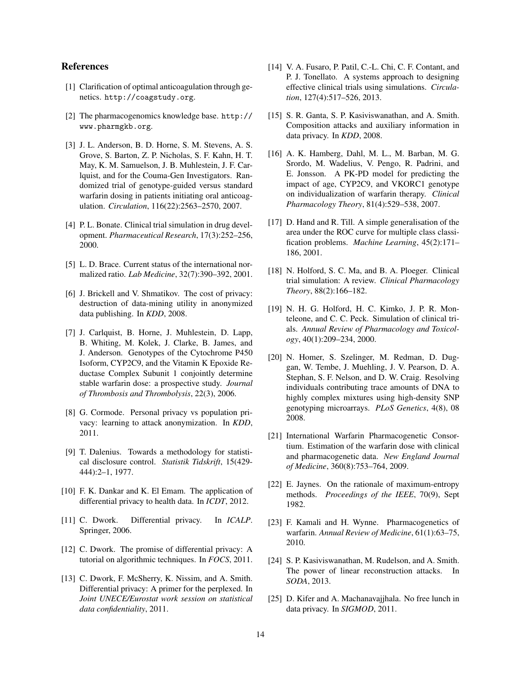## References

- [1] Clarification of optimal anticoagulation through genetics. http://coagstudy.org.
- [2] The pharmacogenomics knowledge base. http:// www.pharmgkb.org.
- [3] J. L. Anderson, B. D. Horne, S. M. Stevens, A. S. Grove, S. Barton, Z. P. Nicholas, S. F. Kahn, H. T. May, K. M. Samuelson, J. B. Muhlestein, J. F. Carlquist, and for the Couma-Gen Investigators. Randomized trial of genotype-guided versus standard warfarin dosing in patients initiating oral anticoagulation. *Circulation*, 116(22):2563–2570, 2007.
- [4] P. L. Bonate. Clinical trial simulation in drug development. *Pharmaceutical Research*, 17(3):252–256, 2000.
- [5] L. D. Brace. Current status of the international normalized ratio. *Lab Medicine*, 32(7):390–392, 2001.
- [6] J. Brickell and V. Shmatikov. The cost of privacy: destruction of data-mining utility in anonymized data publishing. In *KDD*, 2008.
- [7] J. Carlquist, B. Horne, J. Muhlestein, D. Lapp, B. Whiting, M. Kolek, J. Clarke, B. James, and J. Anderson. Genotypes of the Cytochrome P450 Isoform, CYP2C9, and the Vitamin K Epoxide Reductase Complex Subunit 1 conjointly determine stable warfarin dose: a prospective study. *Journal of Thrombosis and Thrombolysis*, 22(3), 2006.
- [8] G. Cormode. Personal privacy vs population privacy: learning to attack anonymization. In *KDD*, 2011.
- [9] T. Dalenius. Towards a methodology for statistical disclosure control. *Statistik Tidskrift*, 15(429- 444):2–1, 1977.
- [10] F. K. Dankar and K. El Emam. The application of differential privacy to health data. In *ICDT*, 2012.
- [11] C. Dwork. Differential privacy. In *ICALP*. Springer, 2006.
- [12] C. Dwork. The promise of differential privacy: A tutorial on algorithmic techniques. In *FOCS*, 2011.
- [13] C. Dwork, F. McSherry, K. Nissim, and A. Smith. Differential privacy: A primer for the perplexed. In *Joint UNECE/Eurostat work session on statistical data confidentiality*, 2011.
- [14] V. A. Fusaro, P. Patil, C.-L. Chi, C. F. Contant, and P. J. Tonellato. A systems approach to designing effective clinical trials using simulations. *Circulation*, 127(4):517–526, 2013.
- [15] S. R. Ganta, S. P. Kasiviswanathan, and A. Smith. Composition attacks and auxiliary information in data privacy. In *KDD*, 2008.
- [16] A. K. Hamberg, Dahl, M. L., M. Barban, M. G. Srordo, M. Wadelius, V. Pengo, R. Padrini, and E. Jonsson. A PK-PD model for predicting the impact of age, CYP2C9, and VKORC1 genotype on individualization of warfarin therapy. *Clinical Pharmacology Theory*, 81(4):529–538, 2007.
- [17] D. Hand and R. Till. A simple generalisation of the area under the ROC curve for multiple class classification problems. *Machine Learning*, 45(2):171– 186, 2001.
- [18] N. Holford, S. C. Ma, and B. A. Ploeger. Clinical trial simulation: A review. *Clinical Pharmacology Theory*, 88(2):166–182.
- [19] N. H. G. Holford, H. C. Kimko, J. P. R. Monteleone, and C. C. Peck. Simulation of clinical trials. *Annual Review of Pharmacology and Toxicology*, 40(1):209–234, 2000.
- [20] N. Homer, S. Szelinger, M. Redman, D. Duggan, W. Tembe, J. Muehling, J. V. Pearson, D. A. Stephan, S. F. Nelson, and D. W. Craig. Resolving individuals contributing trace amounts of DNA to highly complex mixtures using high-density SNP genotyping microarrays. *PLoS Genetics*, 4(8), 08 2008.
- [21] International Warfarin Pharmacogenetic Consortium. Estimation of the warfarin dose with clinical and pharmacogenetic data. *New England Journal of Medicine*, 360(8):753–764, 2009.
- [22] E. Jaynes. On the rationale of maximum-entropy methods. *Proceedings of the IEEE*, 70(9), Sept 1982.
- [23] F. Kamali and H. Wynne. Pharmacogenetics of warfarin. *Annual Review of Medicine*, 61(1):63–75, 2010.
- [24] S. P. Kasiviswanathan, M. Rudelson, and A. Smith. The power of linear reconstruction attacks. In *SODA*, 2013.
- [25] D. Kifer and A. Machanavajjhala. No free lunch in data privacy. In *SIGMOD*, 2011.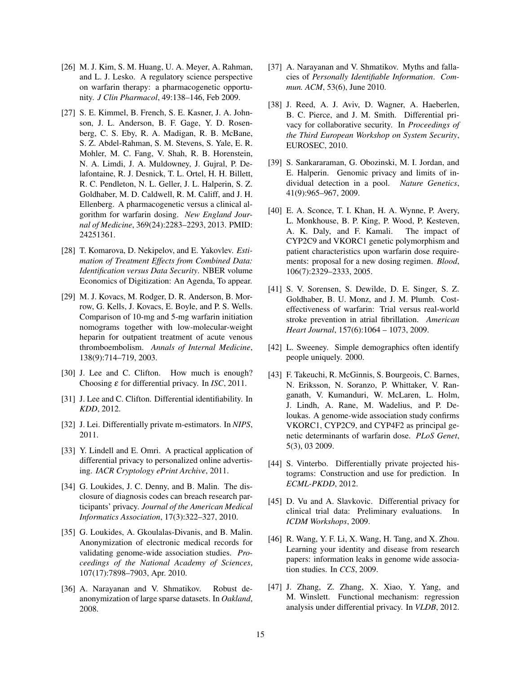- [26] M. J. Kim, S. M. Huang, U. A. Meyer, A. Rahman, and L. J. Lesko. A regulatory science perspective on warfarin therapy: a pharmacogenetic opportunity. *J Clin Pharmacol*, 49:138–146, Feb 2009.
- [27] S. E. Kimmel, B. French, S. E. Kasner, J. A. Johnson, J. L. Anderson, B. F. Gage, Y. D. Rosenberg, C. S. Eby, R. A. Madigan, R. B. McBane, S. Z. Abdel-Rahman, S. M. Stevens, S. Yale, E. R. Mohler, M. C. Fang, V. Shah, R. B. Horenstein, N. A. Limdi, J. A. Muldowney, J. Gujral, P. Delafontaine, R. J. Desnick, T. L. Ortel, H. H. Billett, R. C. Pendleton, N. L. Geller, J. L. Halperin, S. Z. Goldhaber, M. D. Caldwell, R. M. Califf, and J. H. Ellenberg. A pharmacogenetic versus a clinical algorithm for warfarin dosing. *New England Journal of Medicine*, 369(24):2283–2293, 2013. PMID: 24251361.
- [28] T. Komarova, D. Nekipelov, and E. Yakovlev. *Estimation of Treatment Effects from Combined Data: Identification versus Data Security*. NBER volume Economics of Digitization: An Agenda, To appear.
- [29] M. J. Kovacs, M. Rodger, D. R. Anderson, B. Morrow, G. Kells, J. Kovacs, E. Boyle, and P. S. Wells. Comparison of 10-mg and 5-mg warfarin initiation nomograms together with low-molecular-weight heparin for outpatient treatment of acute venous thromboembolism. *Annals of Internal Medicine*, 138(9):714–719, 2003.
- [30] J. Lee and C. Clifton. How much is enough? Choosing ε for differential privacy. In *ISC*, 2011.
- [31] J. Lee and C. Clifton. Differential identifiability. In *KDD*, 2012.
- [32] J. Lei. Differentially private m-estimators. In *NIPS*, 2011.
- [33] Y. Lindell and E. Omri. A practical application of differential privacy to personalized online advertising. *IACR Cryptology ePrint Archive*, 2011.
- [34] G. Loukides, J. C. Denny, and B. Malin. The disclosure of diagnosis codes can breach research participants' privacy. *Journal of the American Medical Informatics Association*, 17(3):322–327, 2010.
- [35] G. Loukides, A. Gkoulalas-Divanis, and B. Malin. Anonymization of electronic medical records for validating genome-wide association studies. *Proceedings of the National Academy of Sciences*, 107(17):7898–7903, Apr. 2010.
- [36] A. Narayanan and V. Shmatikov. Robust deanonymization of large sparse datasets. In *Oakland*, 2008.
- [37] A. Narayanan and V. Shmatikov. Myths and fallacies of *Personally Identifiable Information*. *Commun. ACM*, 53(6), June 2010.
- [38] J. Reed, A. J. Aviv, D. Wagner, A. Haeberlen, B. C. Pierce, and J. M. Smith. Differential privacy for collaborative security. In *Proceedings of the Third European Workshop on System Security*, EUROSEC, 2010.
- [39] S. Sankararaman, G. Obozinski, M. I. Jordan, and E. Halperin. Genomic privacy and limits of individual detection in a pool. *Nature Genetics*, 41(9):965–967, 2009.
- [40] E. A. Sconce, T. I. Khan, H. A. Wynne, P. Avery, L. Monkhouse, B. P. King, P. Wood, P. Kesteven, A. K. Daly, and F. Kamali. The impact of CYP2C9 and VKORC1 genetic polymorphism and patient characteristics upon warfarin dose requirements: proposal for a new dosing regimen. *Blood*, 106(7):2329–2333, 2005.
- [41] S. V. Sorensen, S. Dewilde, D. E. Singer, S. Z. Goldhaber, B. U. Monz, and J. M. Plumb. Costeffectiveness of warfarin: Trial versus real-world stroke prevention in atrial fibrillation. *American Heart Journal*, 157(6):1064 – 1073, 2009.
- [42] L. Sweeney. Simple demographics often identify people uniquely. 2000.
- [43] F. Takeuchi, R. McGinnis, S. Bourgeois, C. Barnes, N. Eriksson, N. Soranzo, P. Whittaker, V. Ranganath, V. Kumanduri, W. McLaren, L. Holm, J. Lindh, A. Rane, M. Wadelius, and P. Deloukas. A genome-wide association study confirms VKORC1, CYP2C9, and CYP4F2 as principal genetic determinants of warfarin dose. *PLoS Genet*, 5(3), 03 2009.
- [44] S. Vinterbo. Differentially private projected histograms: Construction and use for prediction. In *ECML-PKDD*, 2012.
- [45] D. Vu and A. Slavkovic. Differential privacy for clinical trial data: Preliminary evaluations. In *ICDM Workshops*, 2009.
- [46] R. Wang, Y. F. Li, X. Wang, H. Tang, and X. Zhou. Learning your identity and disease from research papers: information leaks in genome wide association studies. In *CCS*, 2009.
- [47] J. Zhang, Z. Zhang, X. Xiao, Y. Yang, and M. Winslett. Functional mechanism: regression analysis under differential privacy. In *VLDB*, 2012.